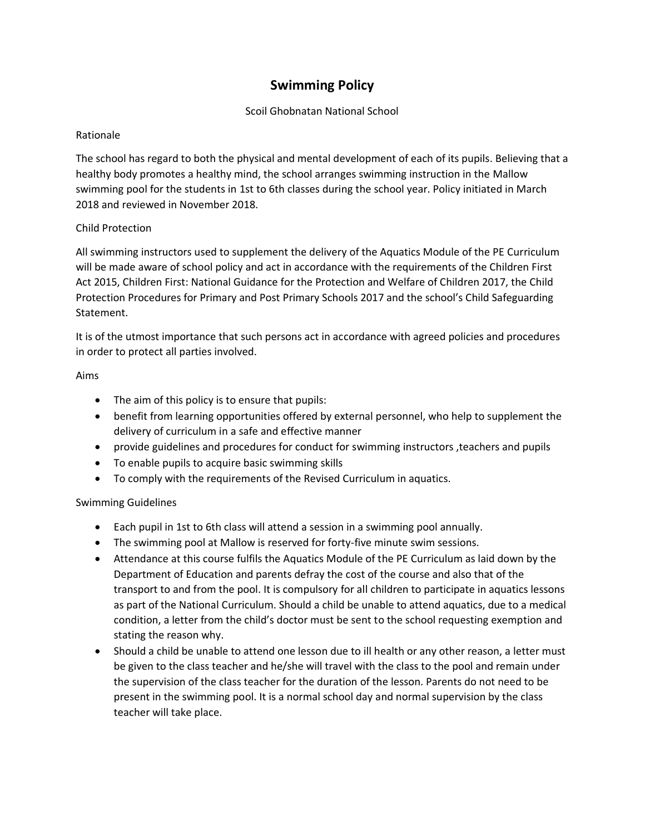# **Swimming Policy**

## Scoil Ghobnatan National School

## Rationale

The school has regard to both the physical and mental development of each of its pupils. Believing that a healthy body promotes a healthy mind, the school arranges swimming instruction in the Mallow swimming pool for the students in 1st to 6th classes during the school year. Policy initiated in March 2018 and reviewed in November 2018.

## Child Protection

All swimming instructors used to supplement the delivery of the Aquatics Module of the PE Curriculum will be made aware of school policy and act in accordance with the requirements of the Children First Act 2015, Children First: National Guidance for the Protection and Welfare of Children 2017, the Child Protection Procedures for Primary and Post Primary Schools 2017 and the school's Child Safeguarding Statement.

It is of the utmost importance that such persons act in accordance with agreed policies and procedures in order to protect all parties involved.

### Aims

- The aim of this policy is to ensure that pupils:
- benefit from learning opportunities offered by external personnel, who help to supplement the delivery of curriculum in a safe and effective manner
- provide guidelines and procedures for conduct for swimming instructors ,teachers and pupils
- To enable pupils to acquire basic swimming skills
- To comply with the requirements of the Revised Curriculum in aquatics.

## Swimming Guidelines

- Each pupil in 1st to 6th class will attend a session in a swimming pool annually.
- The swimming pool at Mallow is reserved for forty-five minute swim sessions.
- Attendance at this course fulfils the Aquatics Module of the PE Curriculum as laid down by the Department of Education and parents defray the cost of the course and also that of the transport to and from the pool. It is compulsory for all children to participate in aquatics lessons as part of the National Curriculum. Should a child be unable to attend aquatics, due to a medical condition, a letter from the child's doctor must be sent to the school requesting exemption and stating the reason why.
- Should a child be unable to attend one lesson due to ill health or any other reason, a letter must be given to the class teacher and he/she will travel with the class to the pool and remain under the supervision of the class teacher for the duration of the lesson. Parents do not need to be present in the swimming pool. It is a normal school day and normal supervision by the class teacher will take place.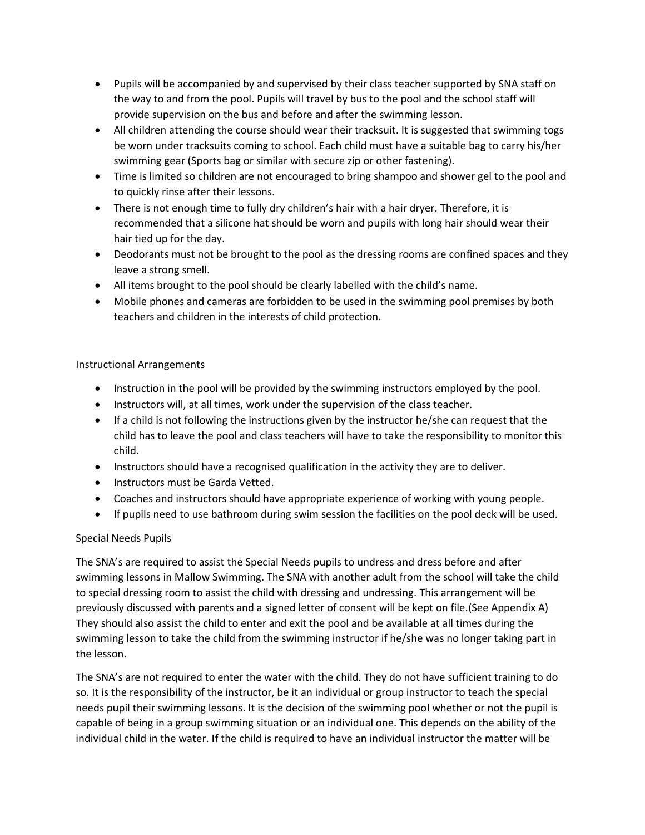- Pupils will be accompanied by and supervised by their class teacher supported by SNA staff on the way to and from the pool. Pupils will travel by bus to the pool and the school staff will provide supervision on the bus and before and after the swimming lesson.
- All children attending the course should wear their tracksuit. It is suggested that swimming togs be worn under tracksuits coming to school. Each child must have a suitable bag to carry his/her swimming gear (Sports bag or similar with secure zip or other fastening).
- Time is limited so children are not encouraged to bring shampoo and shower gel to the pool and to quickly rinse after their lessons.
- There is not enough time to fully dry children's hair with a hair dryer. Therefore, it is recommended that a silicone hat should be worn and pupils with long hair should wear their hair tied up for the day.
- Deodorants must not be brought to the pool as the dressing rooms are confined spaces and they leave a strong smell.
- All items brought to the pool should be clearly labelled with the child's name.
- Mobile phones and cameras are forbidden to be used in the swimming pool premises by both teachers and children in the interests of child protection.

## Instructional Arrangements

- Instruction in the pool will be provided by the swimming instructors employed by the pool.
- Instructors will, at all times, work under the supervision of the class teacher.
- If a child is not following the instructions given by the instructor he/she can request that the child has to leave the pool and class teachers will have to take the responsibility to monitor this child.
- Instructors should have a recognised qualification in the activity they are to deliver.
- Instructors must be Garda Vetted.
- Coaches and instructors should have appropriate experience of working with young people.
- If pupils need to use bathroom during swim session the facilities on the pool deck will be used.

## Special Needs Pupils

The SNA's are required to assist the Special Needs pupils to undress and dress before and after swimming lessons in Mallow Swimming. The SNA with another adult from the school will take the child to special dressing room to assist the child with dressing and undressing. This arrangement will be previously discussed with parents and a signed letter of consent will be kept on file.(See Appendix A) They should also assist the child to enter and exit the pool and be available at all times during the swimming lesson to take the child from the swimming instructor if he/she was no longer taking part in the lesson.

The SNA's are not required to enter the water with the child. They do not have sufficient training to do so. It is the responsibility of the instructor, be it an individual or group instructor to teach the special needs pupil their swimming lessons. It is the decision of the swimming pool whether or not the pupil is capable of being in a group swimming situation or an individual one. This depends on the ability of the individual child in the water. If the child is required to have an individual instructor the matter will be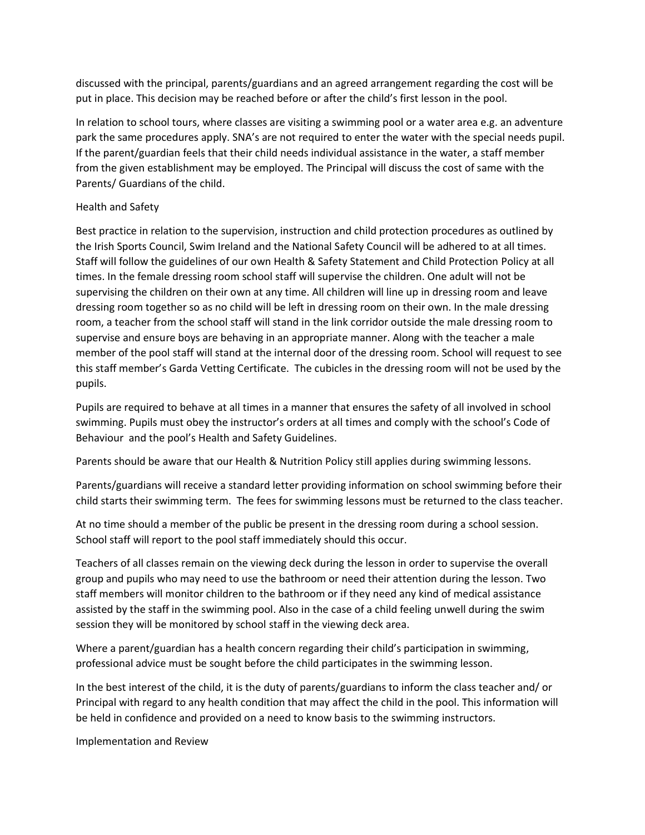discussed with the principal, parents/guardians and an agreed arrangement regarding the cost will be put in place. This decision may be reached before or after the child's first lesson in the pool.

In relation to school tours, where classes are visiting a swimming pool or a water area e.g. an adventure park the same procedures apply. SNA's are not required to enter the water with the special needs pupil. If the parent/guardian feels that their child needs individual assistance in the water, a staff member from the given establishment may be employed. The Principal will discuss the cost of same with the Parents/ Guardians of the child.

#### Health and Safety

Best practice in relation to the supervision, instruction and child protection procedures as outlined by the Irish Sports Council, Swim Ireland and the National Safety Council will be adhered to at all times. Staff will follow the guidelines of our own Health & Safety Statement and Child Protection Policy at all times. In the female dressing room school staff will supervise the children. One adult will not be supervising the children on their own at any time. All children will line up in dressing room and leave dressing room together so as no child will be left in dressing room on their own. In the male dressing room, a teacher from the school staff will stand in the link corridor outside the male dressing room to supervise and ensure boys are behaving in an appropriate manner. Along with the teacher a male member of the pool staff will stand at the internal door of the dressing room. School will request to see this staff member's Garda Vetting Certificate. The cubicles in the dressing room will not be used by the pupils.

Pupils are required to behave at all times in a manner that ensures the safety of all involved in school swimming. Pupils must obey the instructor's orders at all times and comply with the school's Code of Behaviour and the pool's Health and Safety Guidelines.

Parents should be aware that our Health & Nutrition Policy still applies during swimming lessons.

Parents/guardians will receive a standard letter providing information on school swimming before their child starts their swimming term. The fees for swimming lessons must be returned to the class teacher.

At no time should a member of the public be present in the dressing room during a school session. School staff will report to the pool staff immediately should this occur.

Teachers of all classes remain on the viewing deck during the lesson in order to supervise the overall group and pupils who may need to use the bathroom or need their attention during the lesson. Two staff members will monitor children to the bathroom or if they need any kind of medical assistance assisted by the staff in the swimming pool. Also in the case of a child feeling unwell during the swim session they will be monitored by school staff in the viewing deck area.

Where a parent/guardian has a health concern regarding their child's participation in swimming, professional advice must be sought before the child participates in the swimming lesson.

In the best interest of the child, it is the duty of parents/guardians to inform the class teacher and/ or Principal with regard to any health condition that may affect the child in the pool. This information will be held in confidence and provided on a need to know basis to the swimming instructors.

Implementation and Review